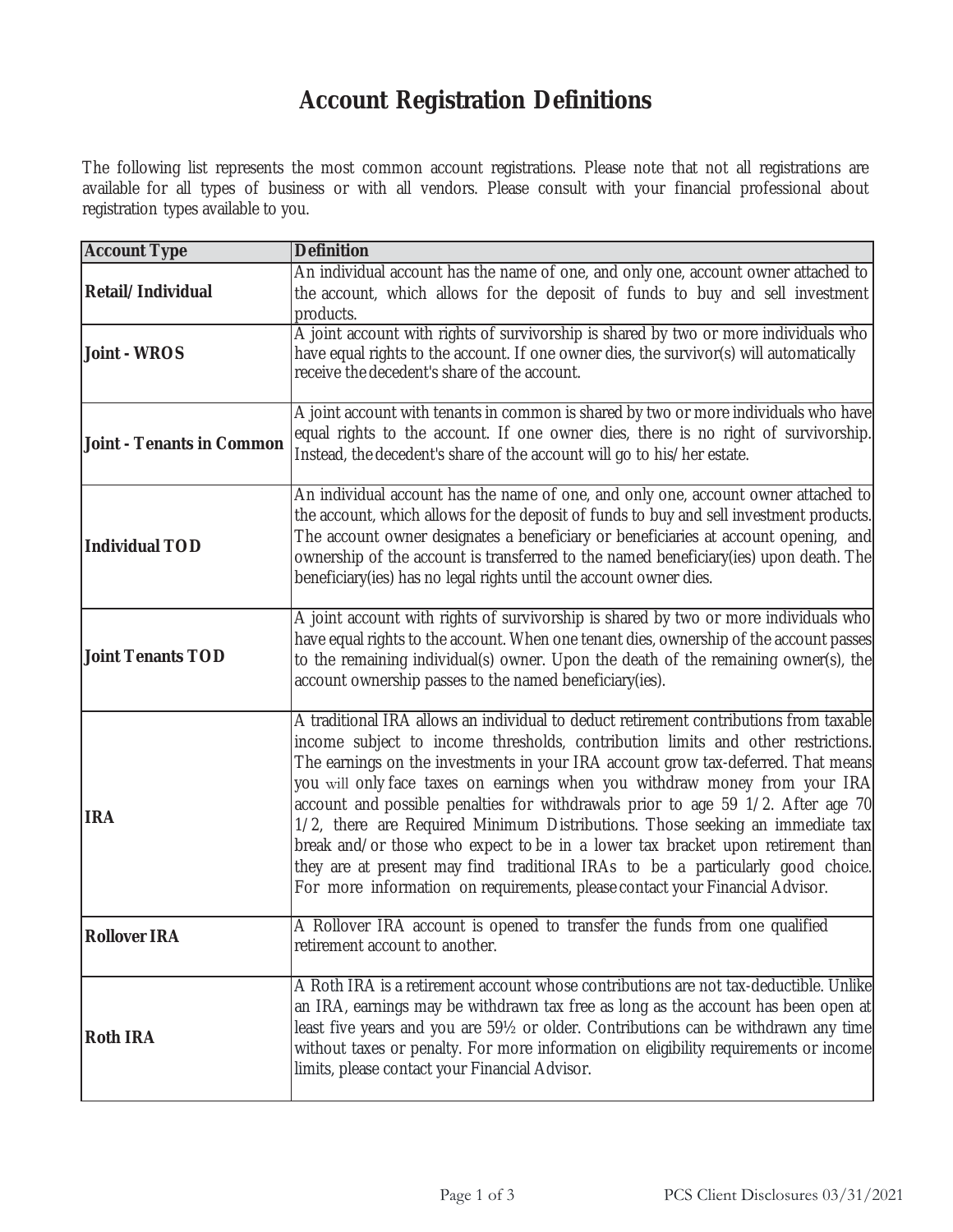## **Account Registration Definitions**

The following list represents the most common account registrations. Please note that not all registrations are available for all types of business or with all vendors. Please consult with your financial professional about registration types available to you.

| <b>Account Type</b>              | <b>Definition</b>                                                                                                                                                                                                                                                                                                                                                                                                                                                                                                                                                                                                                                                                                                                                                        |
|----------------------------------|--------------------------------------------------------------------------------------------------------------------------------------------------------------------------------------------------------------------------------------------------------------------------------------------------------------------------------------------------------------------------------------------------------------------------------------------------------------------------------------------------------------------------------------------------------------------------------------------------------------------------------------------------------------------------------------------------------------------------------------------------------------------------|
| Retail/Individual                | An individual account has the name of one, and only one, account owner attached to<br>the account, which allows for the deposit of funds to buy and sell investment<br>products.                                                                                                                                                                                                                                                                                                                                                                                                                                                                                                                                                                                         |
| <b>Joint - WROS</b>              | A joint account with rights of survivorship is shared by two or more individuals who<br>have equal rights to the account. If one owner dies, the survivor(s) will automatically<br>receive the decedent's share of the account.                                                                                                                                                                                                                                                                                                                                                                                                                                                                                                                                          |
| <b>Joint - Tenants in Common</b> | A joint account with tenants in common is shared by two or more individuals who have<br>equal rights to the account. If one owner dies, there is no right of survivorship.<br>Instead, the decedent's share of the account will go to his/her estate.                                                                                                                                                                                                                                                                                                                                                                                                                                                                                                                    |
| <b>Individual TOD</b>            | An individual account has the name of one, and only one, account owner attached to<br>the account, which allows for the deposit of funds to buy and sell investment products.<br>The account owner designates a beneficiary or beneficiaries at account opening, and<br>ownership of the account is transferred to the named beneficiary(ies) upon death. The<br>beneficiary(ies) has no legal rights until the account owner dies.                                                                                                                                                                                                                                                                                                                                      |
| <b>Joint Tenants TOD</b>         | A joint account with rights of survivorship is shared by two or more individuals who<br>have equal rights to the account. When one tenant dies, ownership of the account passes<br>to the remaining individual(s) owner. Upon the death of the remaining owner(s), the<br>account ownership passes to the named beneficiary(ies).                                                                                                                                                                                                                                                                                                                                                                                                                                        |
| <b>IRA</b>                       | A traditional IRA allows an individual to deduct retirement contributions from taxable<br>income subject to income thresholds, contribution limits and other restrictions.<br>The earnings on the investments in your IRA account grow tax-deferred. That means<br>you will only face taxes on earnings when you withdraw money from your IRA<br>account and possible penalties for withdrawals prior to age 59 1/2. After age 70<br>1/2, there are Required Minimum Distributions. Those seeking an immediate tax<br>break and/or those who expect to be in a lower tax bracket upon retirement than<br>they are at present may find traditional IRAs to be a particularly good choice.<br>For more information on requirements, please contact your Financial Advisor. |
| <b>Rollover IRA</b>              | A Rollover IRA account is opened to transfer the funds from one qualified<br>retirement account to another.                                                                                                                                                                                                                                                                                                                                                                                                                                                                                                                                                                                                                                                              |
| <b>Roth IRA</b>                  | A Roth IRA is a retirement account whose contributions are not tax-deductible. Unlike<br>an IRA, earnings may be withdrawn tax free as long as the account has been open at<br>least five years and you are 591/2 or older. Contributions can be withdrawn any time<br>without taxes or penalty. For more information on eligibility requirements or income<br>limits, please contact your Financial Advisor.                                                                                                                                                                                                                                                                                                                                                            |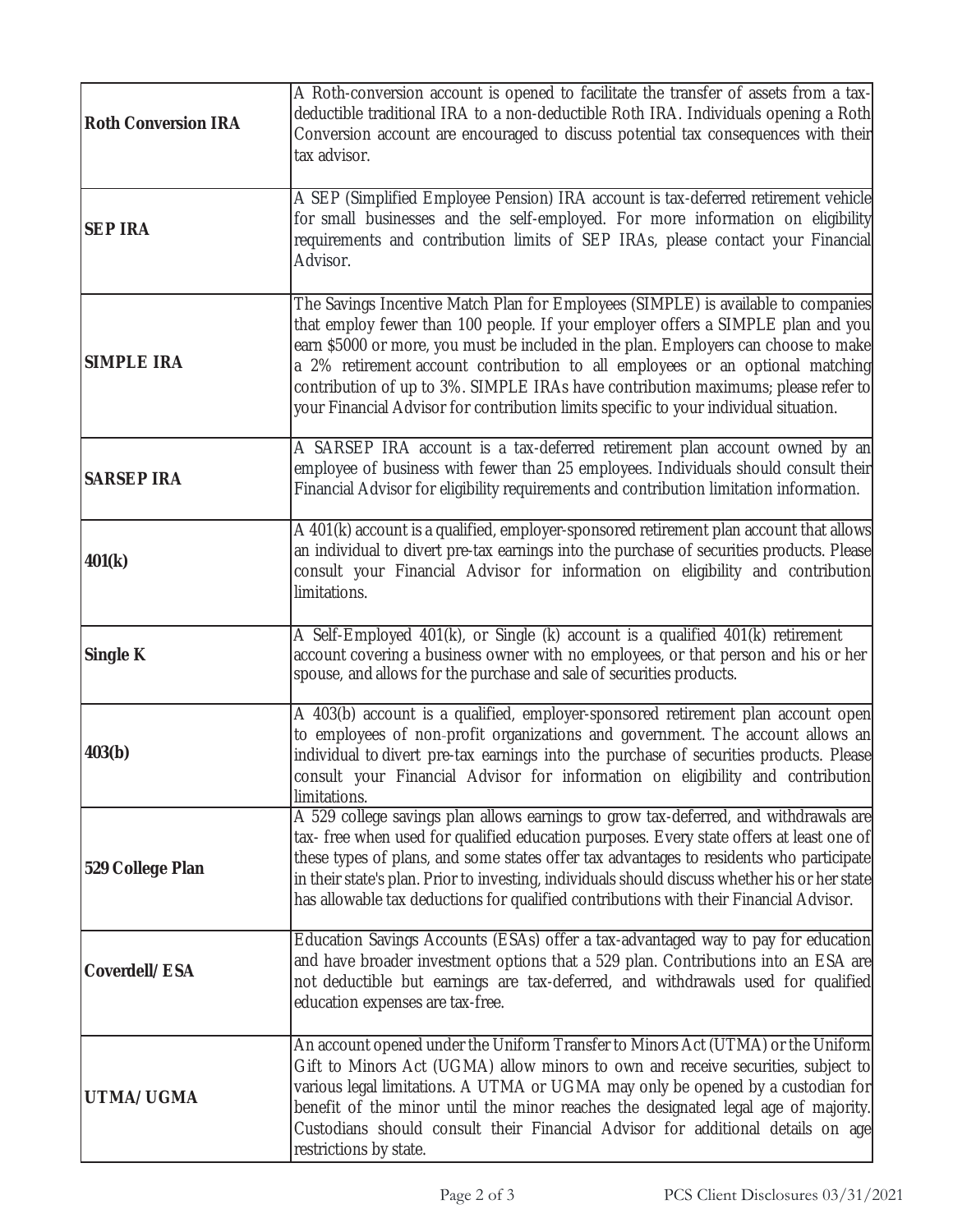| <b>Roth Conversion IRA</b> | A Roth-conversion account is opened to facilitate the transfer of assets from a tax-<br>deductible traditional IRA to a non-deductible Roth IRA. Individuals opening a Roth<br>Conversion account are encouraged to discuss potential tax consequences with their<br>tax advisor.                                                                                                                                                                                                                                           |
|----------------------------|-----------------------------------------------------------------------------------------------------------------------------------------------------------------------------------------------------------------------------------------------------------------------------------------------------------------------------------------------------------------------------------------------------------------------------------------------------------------------------------------------------------------------------|
| <b>SEP IRA</b>             | A SEP (Simplified Employee Pension) IRA account is tax-deferred retirement vehicle<br>for small businesses and the self-employed. For more information on eligibility<br>requirements and contribution limits of SEP IRAs, please contact your Financial<br>Advisor.                                                                                                                                                                                                                                                        |
| <b>SIMPLE IRA</b>          | The Savings Incentive Match Plan for Employees (SIMPLE) is available to companies<br>that employ fewer than 100 people. If your employer offers a SIMPLE plan and you<br>earn \$5000 or more, you must be included in the plan. Employers can choose to make<br>a 2% retirement account contribution to all employees or an optional matching<br>contribution of up to 3%. SIMPLE IRAs have contribution maximums; please refer to<br>your Financial Advisor for contribution limits specific to your individual situation. |
| <b>SARSEP IRA</b>          | A SARSEP IRA account is a tax-deferred retirement plan account owned by an<br>employee of business with fewer than 25 employees. Individuals should consult their<br>Financial Advisor for eligibility requirements and contribution limitation information.                                                                                                                                                                                                                                                                |
| 401(k)                     | A 401(k) account is a qualified, employer-sponsored retirement plan account that allows<br>an individual to divert pre-tax earnings into the purchase of securities products. Please<br>consult your Financial Advisor for information on eligibility and contribution<br>limitations.                                                                                                                                                                                                                                      |
| <b>Single K</b>            | A Self-Employed 401(k), or Single (k) account is a qualified 401(k) retirement<br>account covering a business owner with no employees, or that person and his or her<br>spouse, and allows for the purchase and sale of securities products.                                                                                                                                                                                                                                                                                |
| 403(b)                     | A 403(b) account is a qualified, employer-sponsored retirement plan account open<br>to employees of non-profit organizations and government. The account allows an<br>individual to divert pre-tax earnings into the purchase of securities products. Please<br>consult your Financial Advisor for information on eligibility and contribution<br>limitations.                                                                                                                                                              |
| <b>529 College Plan</b>    | A 529 college savings plan allows earnings to grow tax-deferred, and withdrawals are<br>tax- free when used for qualified education purposes. Every state offers at least one of<br>these types of plans, and some states offer tax advantages to residents who participate<br>in their state's plan. Prior to investing, individuals should discuss whether his or her state<br>has allowable tax deductions for qualified contributions with their Financial Advisor.                                                     |
| Coverdell/ESA              | Education Savings Accounts (ESAs) offer a tax-advantaged way to pay for education<br>and have broader investment options that a 529 plan. Contributions into an ESA are<br>not deductible but earnings are tax-deferred, and withdrawals used for qualified<br>education expenses are tax-free.                                                                                                                                                                                                                             |
| UTMA/UGMA                  | An account opened under the Uniform Transfer to Minors Act (UTMA) or the Uniform<br>Gift to Minors Act (UGMA) allow minors to own and receive securities, subject to<br>various legal limitations. A UTMA or UGMA may only be opened by a custodian for<br>benefit of the minor until the minor reaches the designated legal age of majority.<br>Custodians should consult their Financial Advisor for additional details on age<br>restrictions by state.                                                                  |